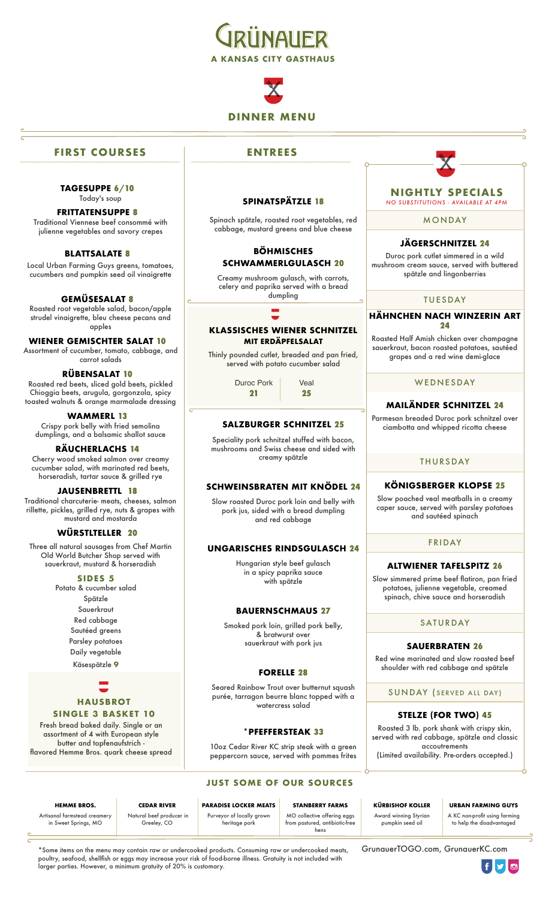

# **DINNER MENU**

#### **FIRST COURSES**

**TAGESUPPE 6/10** Today's soup

#### **FRITTATENSUPPE 8** Traditional Viennese beef consommé with

julienne vegetables and savory crepes

#### **BLATTSALATE 8**

Local Urban Farming Guys greens, tomatoes, cucumbers and pumpkin seed oil vinaigrette

#### **GEMÜSESALAT 8**

Roasted root vegetable salad, bacon/apple strudel vinaigrette, bleu cheese pecans and apples

#### **WIENER GEMISCHTER SALAT 10**

Assortment of cucumber, tomato, cabbage, and carrot salads

#### **RÜBENSALAT 10**

Roasted red beets, sliced gold beets, pickled Chioggia beets, arugula, gorgonzola, spicy toasted walnuts & orange marmalade dressing

#### **WAMMERL 13**

Crispy pork belly with fried semolina dumplings, and a balsamic shallot sauce

#### **RÄUCHERLACHS 14**

Cherry wood smoked salmon over creamy cucumber salad, with marinated red beets, horseradish, tartar sauce & grilled rye

#### **JAUSENBRETTL 18**

Traditional charcuterie- meats, cheeses, salmon rillette, pickles, grilled rye, nuts & grapes with mustard and mostarda

#### **WÜRSTLTELLER 20**

Three all natural sausages from Chef Martin Old World Butcher Shop served with sauerkraut, mustard & horseradish

#### **SIDES 5**

Potato & cucumber salad Spätzle Sauerkraut Red cabbage Sautéed greens

> Parsley potatoes Daily vegetable

Käsespätzle **9**

## **HAUSBROT SINGLE 3 BASKET 10**

Fresh bread baked daily. Single or an assortment of 4 with European style butter and topfenaufstrich flavored Hemme Bros. quark cheese spread

#### **ENTREES**

#### **SPINATSPÄTZLE 18**

Spinach spätzle, roasted root vegetables, red cabbage, mustard greens and blue cheese

#### **BÖHMISCHES SCHWAMMERLGULASCH 20**

Creamy mushroom gulasch, with carrots, celery and paprika served with a bread dumpling

#### **KLASSISCHES WIENER SCHNITZEL MIT ERDÄPFELSALAT**

Thinly pounded cutlet, breaded and pan fried, served with potato cucumber salad

> Duroc Pork Veal **21 25**

#### **SALZBURGER SCHNITZEL 25**

Speciality pork schnitzel stuffed with bacon, mushrooms and Swiss cheese and sided with creamy spätzle

#### **SCHWEINSBRATEN MIT KNÖDEL 24**

Slow roasted Duroc pork loin and belly with pork jus, sided with a bread dumpling and red cabbage

#### **UNGARISCHES RINDSGULASCH 24**

Hungarian style beef gulasch in a spicy paprika sauce with spätzle

#### **BAUERNSCHMAUS 27**

Smoked pork loin, grilled pork belly, & bratwurst over sauerkraut with pork jus

#### **FORELLE 28**

Seared Rainbow Trout over butternut squash purée, tarragon beurre blanc topped with a watercress salad

#### **\*PFEFFERSTEAK 33**

10oz Cedar River KC strip steak with a green peppercorn sauce, served with pommes frites

# **JUST SOME OF OUR SOURCES**

from pastured, antibiotic-free hens

MO collective offering eggs

Award winning Styrian pumpkin seed oil

**HEMME BROS. CEDAR RIVER PARADISE LOCKER MEATS STANBERRY FARMS KÜRBISHOF KOLLER URBAN FARMING GUYS** A KC non-profit using farming to help the disadvantaged

Artisanal farmstead creamery in Sweet Springs, MO

 Natural beef producer in Greeley, CO

larger parties. However, a minimum gratuity of 20% is customary.

\*Some items on the menu may contain raw or undercooked products. Consuming raw or undercooked meats, poultry, seafood, shellfish or eggs may increase your risk of food-borne illness. Gratuity is not included with

Purveyor of locally grown heritage pork

[GrunauerTOGO.com](http://GrunauerTOGO.com), GrunauerKC.com

flyl⊚

**NIGHTLY SPECIALS** *NO SUBSTITUTIONS - AVAILABLE AT 4PM*

MONDAY

#### **JÄGERSCHNITZEL 24**

Duroc pork cutlet simmered in a wild mushroom cream sauce, served with buttered spätzle and lingonberries

#### TUESDAY

#### **HÄHNCHEN NACH WINZERIN ART 24**

Roasted Half Amish chicken over champagne sauerkraut, bacon roasted potatoes, sautéed grapes and a red wine demi-glace

#### WEDNESDAY

#### **MAILÄNDER SCHNITZEL 24**

Parmesan breaded Duroc pork schnitzel over ciambotta and whipped ricotta cheese

#### **THURSDAY**

### **KÖNIGSBERGER KLOPSE 25**

Slow poached veal meatballs in a creamy caper sauce, served with parsley potatoes and sautéed spinach

#### FRIDAY

#### **ALTWIENER TAFELSPITZ 26**

Slow simmered prime beef flatiron, pan fried potatoes, julienne vegetable, creamed spinach, chive sauce and horseradish

#### SATURDAY

#### **SAUERBRATEN 26**

Red wine marinated and slow roasted beef shoulder with red cabbage and spätzle

SUNDAY ( SERVED ALL DAY)

#### **STELZE (FOR TWO) 45**

Roasted 3 lb. pork shank with crispy skin, served with red cabbage, spätzle and classic accoutrements

(Limited availability. Pre-orders accepted.)